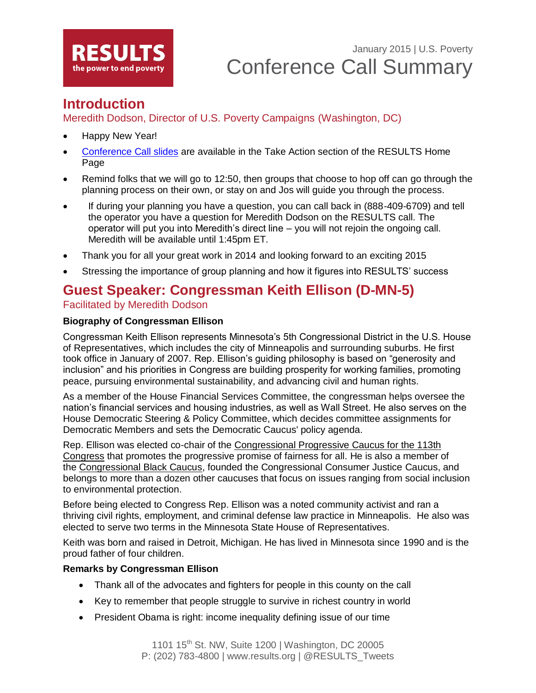

# **Introduction**

Meredith Dodson, Director of U.S. Poverty Campaigns (Washington, DC)

- Happy New Year!
- [Conference Call slides](http://www.results.org/skills_center/results_national_conference_calls/) are available in the Take Action section of the RESULTS Home Page
- Remind folks that we will go to 12:50, then groups that choose to hop off can go through the planning process on their own, or stay on and Jos will guide you through the process.
- If during your planning you have a question, you can call back in (888-409-6709) and tell the operator you have a question for Meredith Dodson on the RESULTS call. The operator will put you into Meredith's direct line – you will not rejoin the ongoing call. Meredith will be available until 1:45pm ET.
- Thank you for all your great work in 2014 and looking forward to an exciting 2015
- Stressing the importance of group planning and how it figures into RESULTS' success

## **Guest Speaker: Congressman Keith Ellison (D-MN-5)**

#### Facilitated by Meredith Dodson

#### **Biography of Congressman Ellison**

Congressman Keith Ellison represents Minnesota's 5th Congressional District in the U.S. House of Representatives, which includes the city of Minneapolis and surrounding suburbs. He first took office in January of 2007. Rep. Ellison's guiding philosophy is based on "generosity and inclusion" and his priorities in Congress are building prosperity for working families, promoting peace, pursuing environmental sustainability, and advancing civil and human rights.

As a member of the House Financial Services Committee, the congressman helps oversee the nation's financial services and housing industries, as well as Wall Street. He also serves on the House Democratic Steering & Policy Committee, which decides committee assignments for Democratic Members and sets the Democratic Caucus' policy agenda.

Rep. Ellison was elected co-chair of the [Congressional Progressive Caucus for the 113th](http://cpc.grijalva.house.gov/index.cfm?sectionid=61&itemid=627)  [Congress](http://cpc.grijalva.house.gov/index.cfm?sectionid=61&itemid=627) that promotes the progressive promise of fairness for all. He is also a member of the [Congressional Black Caucus,](http://cbc.fudge.house.gov/) founded the Congressional Consumer Justice Caucus, and belongs to more than a dozen other caucuses that focus on issues ranging from social inclusion to environmental protection.

Before being elected to Congress Rep. Ellison was a noted community activist and ran a thriving civil rights, employment, and criminal defense law practice in Minneapolis. He also was elected to serve two terms in the Minnesota State House of Representatives.

Keith was born and raised in Detroit, Michigan. He has lived in Minnesota since 1990 and is the proud father of four children.

#### **Remarks by Congressman Ellison**

- Thank all of the advocates and fighters for people in this county on the call
- Key to remember that people struggle to survive in richest country in world
- President Obama is right: income inequality defining issue of our time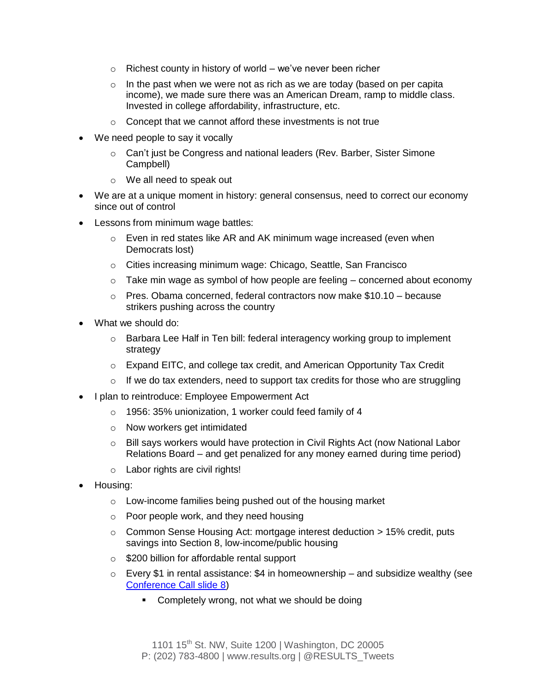- $\circ$  Richest county in history of world we've never been richer
- $\circ$  In the past when we were not as rich as we are today (based on per capita income), we made sure there was an American Dream, ramp to middle class. Invested in college affordability, infrastructure, etc.
- o Concept that we cannot afford these investments is not true
- We need people to say it vocally
	- o Can't just be Congress and national leaders (Rev. Barber, Sister Simone Campbell)
	- o We all need to speak out
- We are at a unique moment in history: general consensus, need to correct our economy since out of control
- Lessons from minimum wage battles:
	- o Even in red states like AR and AK minimum wage increased (even when Democrats lost)
	- o Cities increasing minimum wage: Chicago, Seattle, San Francisco
	- $\circ$  Take min wage as symbol of how people are feeling concerned about economy
	- $\circ$  Pres. Obama concerned, federal contractors now make \$10.10 because strikers pushing across the country
- What we should do:
	- $\circ$  Barbara Lee Half in Ten bill: federal interagency working group to implement strategy
	- $\circ$  Expand EITC, and college tax credit, and American Opportunity Tax Credit
	- $\circ$  If we do tax extenders, need to support tax credits for those who are struggling
- I plan to reintroduce: Employee Empowerment Act
	- o 1956: 35% unionization, 1 worker could feed family of 4
	- o Now workers get intimidated
	- o Bill says workers would have protection in Civil Rights Act (now National Labor Relations Board – and get penalized for any money earned during time period)
	- o Labor rights are civil rights!
- Housing:
	- o Low-income families being pushed out of the housing market
	- o Poor people work, and they need housing
	- $\circ$  Common Sense Housing Act: mortgage interest deduction  $> 15\%$  credit, puts savings into Section 8, low-income/public housing
	- o \$200 billion for affordable rental support
	- $\circ$  Every \$1 in rental assistance: \$4 in homeownership and subsidize wealthy (see [Conference Call slide](http://www.results.org/skills_center/results_national_conference_calls/) 8)
		- Completely wrong, not what we should be doing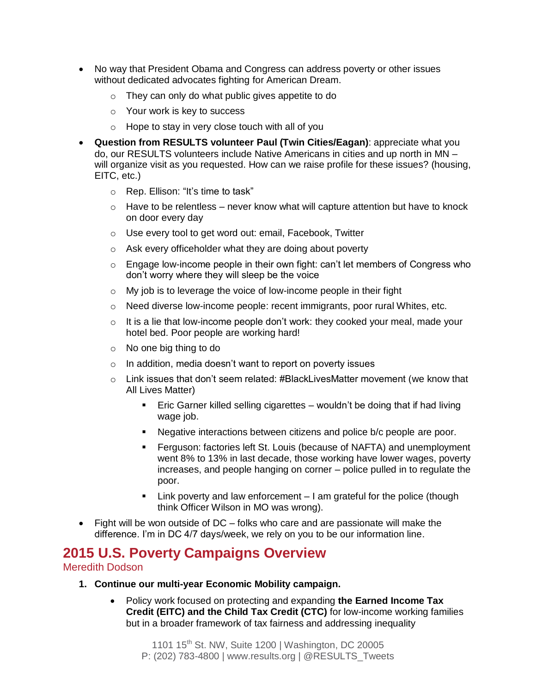- No way that President Obama and Congress can address poverty or other issues without dedicated advocates fighting for American Dream.
	- o They can only do what public gives appetite to do
	- o Your work is key to success
	- o Hope to stay in very close touch with all of you
- **Question from RESULTS volunteer Paul (Twin Cities/Eagan)**: appreciate what you do, our RESULTS volunteers include Native Americans in cities and up north in MN – will organize visit as you requested. How can we raise profile for these issues? (housing, EITC, etc.)
	- o Rep. Ellison: "It's time to task"
	- $\circ$  Have to be relentless never know what will capture attention but have to knock on door every day
	- o Use every tool to get word out: email, Facebook, Twitter
	- o Ask every officeholder what they are doing about poverty
	- o Engage low-income people in their own fight: can't let members of Congress who don't worry where they will sleep be the voice
	- $\circ$  My job is to leverage the voice of low-income people in their fight
	- $\circ$  Need diverse low-income people: recent immigrants, poor rural Whites, etc.
	- $\circ$  It is a lie that low-income people don't work: they cooked your meal, made your hotel bed. Poor people are working hard!
	- o No one big thing to do
	- $\circ$  In addition, media doesn't want to report on poverty issues
	- $\circ$  Link issues that don't seem related: #BlackLivesMatter movement (we know that All Lives Matter)
		- Eric Garner killed selling cigarettes wouldn't be doing that if had living wage job.
		- Negative interactions between citizens and police b/c people are poor.
		- **Ferguson: factories left St. Louis (because of NAFTA) and unemployment** went 8% to 13% in last decade, those working have lower wages, poverty increases, and people hanging on corner – police pulled in to regulate the poor.
		- $\blacksquare$  Link poverty and law enforcement  $\blacksquare$  am grateful for the police (though think Officer Wilson in MO was wrong).
- Fight will be won outside of DC folks who care and are passionate will make the difference. I'm in DC 4/7 days/week, we rely on you to be our information line.

## **2015 U.S. Poverty Campaigns Overview**

#### Meredith Dodson

- **1. Continue our multi-year Economic Mobility campaign.** 
	- Policy work focused on protecting and expanding **the Earned Income Tax Credit (EITC) and the Child Tax Credit (CTC)** for low-income working families but in a broader framework of tax fairness and addressing inequality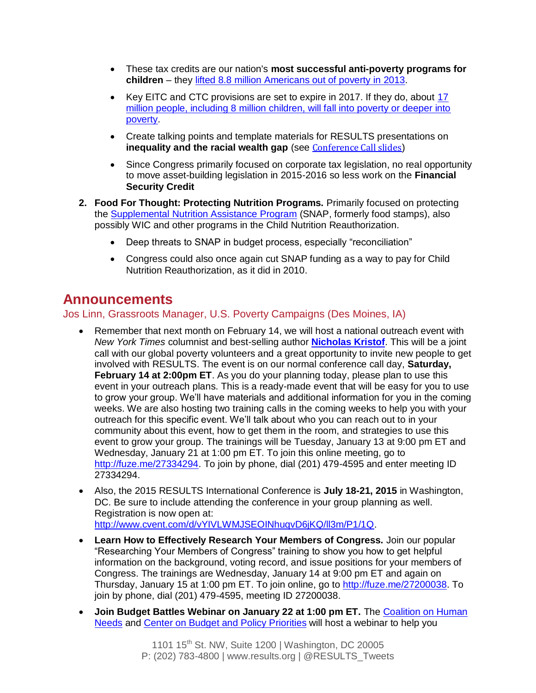- These tax credits are our nation's **most successful anti-poverty programs for children** – they [lifted 8.8 million Americans out of poverty in 2013.](http://www.census.gov/content/dam/Census/newsroom/releases/2014/cb14-188_spm.pdf?eml=gd&utm_medium=email&utm_source=govdelivery)
- Key EITC and CTC provisions are set to expire in 2017. If they do, about 17 [million people, including 8 million children, will fall into poverty or deeper into](http://www.offthechartsblog.org/what-would-congress-inaction-cost-working-families-find-out/)  [poverty.](http://www.offthechartsblog.org/what-would-congress-inaction-cost-working-families-find-out/)
- Create talking points and template materials for RESULTS presentations on **inequality and the racial wealth gap** (see [Conference Call slides](http://www.results.org/skills_center/results_national_conference_calls/))
- Since Congress primarily focused on corporate tax legislation, no real opportunity to move asset-building legislation in 2015-2016 so less work on the **Financial Security Credit**
- **2. Food For Thought: Protecting Nutrition Programs.** Primarily focused on protecting the Supplemental [Nutrition Assistance Program](http://www.results.org/issues/us_poverty_campaigns/health_care_for_all/supplemental_nutrition_assistance_program/) (SNAP, formerly food stamps), also possibly WIC and other programs in the Child Nutrition Reauthorization.
	- Deep threats to SNAP in budget process, especially "reconciliation"
	- Congress could also once again cut SNAP funding as a way to pay for Child Nutrition Reauthorization, as it did in 2010.

# **Announcements**

#### Jos Linn, Grassroots Manager, U.S. Poverty Campaigns (Des Moines, IA)

- Remember that next month on February 14, we will host a national outreach event with *New York Times* columnist and best-selling author **[Nicholas Kristof](http://www.nytimes.com/ref/opinion/KRISTOF-BIO.html?_r=0)**. This will be a joint call with our global poverty volunteers and a great opportunity to invite new people to get involved with RESULTS. The event is on our normal conference call day, **Saturday, February 14 at 2:00pm ET**. As you do your planning today, please plan to use this event in your outreach plans. This is a ready-made event that will be easy for you to use to grow your group. We'll have materials and additional information for you in the coming weeks. We are also hosting two training calls in the coming weeks to help you with your outreach for this specific event. We'll talk about who you can reach out to in your community about this event, how to get them in the room, and strategies to use this event to grow your group. The trainings will be Tuesday, January 13 at 9:00 pm ET and Wednesday, January 21 at 1:00 pm ET. To join this online meeting, go to [http://fuze.me/27334294.](http://fuze.me/27334294) To join by phone, dial (201) 479-4595 and enter meeting ID 27334294.
- Also, the 2015 RESULTS International Conference is **July 18-21, 2015** in Washington, DC. Be sure to include attending the conference in your group planning as well. Registration is now open at: [http://www.cvent.com/d/vYIVLWMJSEOINhuqvD6jKQ/ll3m/P1/1Q.](http://www.cvent.com/d/vYIVLWMJSEOINhuqvD6jKQ/ll3m/P1/1Q)
- **Learn How to Effectively Research Your Members of Congress.** Join our popular "Researching Your Members of Congress" training to show you how to get helpful information on the background, voting record, and issue positions for your members of Congress. The trainings are Wednesday, January 14 at 9:00 pm ET and again on Thursday, January 15 at 1:00 pm ET. To join online, go to [http://fuze.me/27200038.](http://fuze.me/27200038) To join by phone, dial (201) 479-4595, meeting ID 27200038.
- Join Budget Battles Webinar on January 22 at 1:00 pm ET. The Coalition on Human [Needs](http://www.chn.org/) and [Center on Budget and Policy Priorities](http://www.cbpp.org/) will host a webinar to help you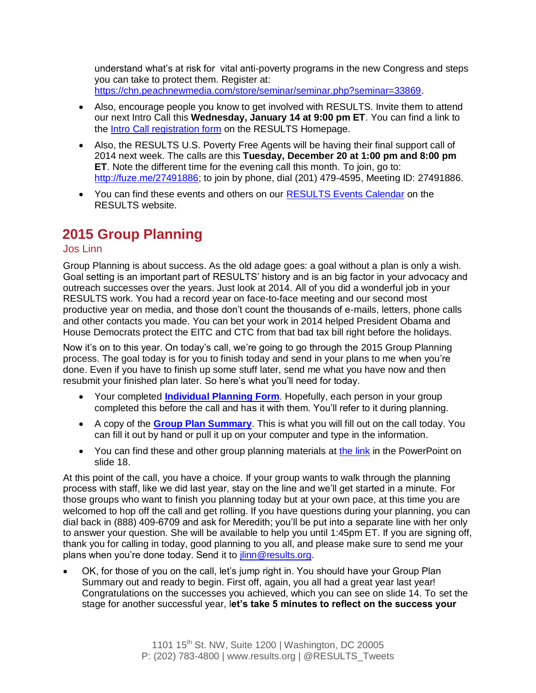understand what's at risk for vital anti-poverty programs in the new Congress and steps you can take to protect them. Register at: [https://chn.peachnewmedia.com/store/seminar/seminar.php?seminar=33869.](https://chn.peachnewmedia.com/store/seminar/seminar.php?seminar=33869)

- Also, encourage people you know to get involved with RESULTS. Invite them to attend our next Intro Call this **Wednesday, January 14 at 9:00 pm ET**. You can find a link to the [Intro Call registration form](http://www.results.org/take_action/become_a_results_activist/#Introductory%20Call) on the RESULTS Homepage.
- Also, the RESULTS U.S. Poverty Free Agents will be having their final support call of 2014 next week. The calls are this **Tuesday, December 20 at 1:00 pm and 8:00 pm ET**. Note the different time for the evening call this month. To join, go to: [http://fuze.me/27491886;](http://fuze.me/27491886) to join by phone, dial (201) 479-4595, Meeting ID: 27491886.
- You can find these events and others on our [RESULTS Events Calendar](http://www.results.org/events/events_calendar/) on the RESULTS website.

# **2015 Group Planning**

#### Jos Linn

Group Planning is about success. As the old adage goes: a goal without a plan is only a wish. Goal setting is an important part of RESULTS' history and is an big factor in your advocacy and outreach successes over the years. Just look at 2014. All of you did a wonderful job in your RESULTS work. You had a record year on face-to-face meeting and our second most productive year on media, and those don't count the thousands of e-mails, letters, phone calls and other contacts you made. You can bet your work in 2014 helped President Obama and House Democrats protect the EITC and CTC from that bad tax bill right before the holidays.

Now it's on to this year. On today's call, we're going to go through the 2015 Group Planning process. The goal today is for you to finish today and send in your plans to me when you're done. Even if you have to finish up some stuff later, send me what you have now and then resubmit your finished plan later. So here's what you'll need for today.

- Your completed **[Individual Planning Form](http://www.results.org/uploads/files/2015_Individual_Planning_Form.doc)**. Hopefully, each person in your group completed this before the call and has it with them. You'll refer to it during planning.
- A copy of the **[Group Plan](http://www.results.org/uploads/files/2015_Group_Plan_Summary.doc) Summary**. This is what you will fill out on the call today. You can fill it out by hand or pull it up on your computer and type in the information.
- You can find these and other group planning materials at [the link](http://www.results.org/skills_center/group_resources_and_admin/) in the PowerPoint on slide 18.

At this point of the call, you have a choice. If your group wants to walk through the planning process with staff, like we did last year, stay on the line and we'll get started in a minute. For those groups who want to finish you planning today but at your own pace, at this time you are welcomed to hop off the call and get rolling. If you have questions during your planning, you can dial back in (888) 409-6709 and ask for Meredith; you'll be put into a separate line with her only to answer your question. She will be available to help you until 1:45pm ET. If you are signing off, thank you for calling in today, good planning to you all, and please make sure to send me your plans when you're done today. Send it to [jlinn@results.org.](mailto:jlinn@results.org)

 OK, for those of you on the call, let's jump right in. You should have your Group Plan Summary out and ready to begin. First off, again, you all had a great year last year! Congratulations on the successes you achieved, which you can see on slide 14. To set the stage for another successful year, l**et's take 5 minutes to reflect on the success your**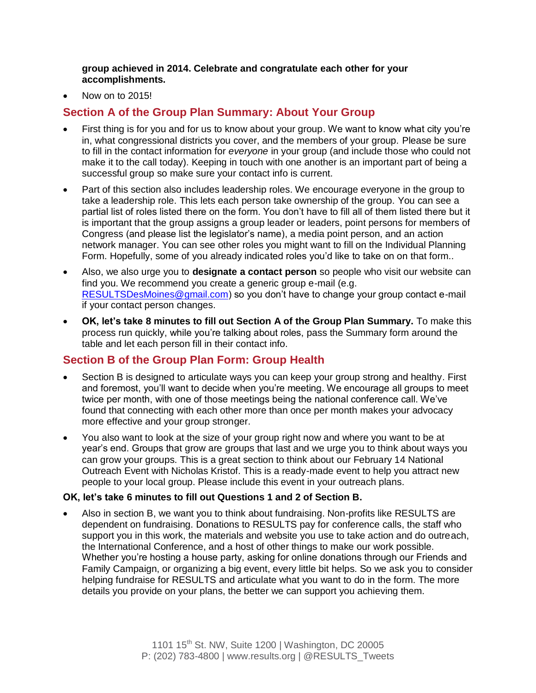**group achieved in 2014. Celebrate and congratulate each other for your accomplishments.**

Now on to 2015!

#### **Section A of the Group Plan Summary: About Your Group**

- First thing is for you and for us to know about your group. We want to know what city you're in, what congressional districts you cover, and the members of your group. Please be sure to fill in the contact information for *everyone* in your group (and include those who could not make it to the call today). Keeping in touch with one another is an important part of being a successful group so make sure your contact info is current.
- Part of this section also includes leadership roles. We encourage everyone in the group to take a leadership role. This lets each person take ownership of the group. You can see a partial list of roles listed there on the form. You don't have to fill all of them listed there but it is important that the group assigns a group leader or leaders, point persons for members of Congress (and please list the legislator's name), a media point person, and an action network manager. You can see other roles you might want to fill on the Individual Planning Form. Hopefully, some of you already indicated roles you'd like to take on on that form..
- Also, we also urge you to **designate a contact person** so people who visit our website can find you. We recommend you create a generic group e-mail (e.g. [RESULTSDesMoines@gmail.com\)](mailto:RESULTSDesMoines@gmail.com) so you don't have to change your group contact e-mail if your contact person changes.
- **OK, let's take 8 minutes to fill out Section A of the Group Plan Summary.** To make this process run quickly, while you're talking about roles, pass the Summary form around the table and let each person fill in their contact info.

#### **Section B of the Group Plan Form: Group Health**

- Section B is designed to articulate ways you can keep your group strong and healthy. First and foremost, you'll want to decide when you're meeting. We encourage all groups to meet twice per month, with one of those meetings being the national conference call. We've found that connecting with each other more than once per month makes your advocacy more effective and your group stronger.
- You also want to look at the size of your group right now and where you want to be at year's end. Groups that grow are groups that last and we urge you to think about ways you can grow your groups. This is a great section to think about our February 14 National Outreach Event with Nicholas Kristof. This is a ready-made event to help you attract new people to your local group. Please include this event in your outreach plans.

#### **OK, let's take 6 minutes to fill out Questions 1 and 2 of Section B.**

 Also in section B, we want you to think about fundraising. Non-profits like RESULTS are dependent on fundraising. Donations to RESULTS pay for conference calls, the staff who support you in this work, the materials and website you use to take action and do outreach, the International Conference, and a host of other things to make our work possible. Whether you're hosting a house party, asking for online donations through our Friends and Family Campaign, or organizing a big event, every little bit helps. So we ask you to consider helping fundraise for RESULTS and articulate what you want to do in the form. The more details you provide on your plans, the better we can support you achieving them.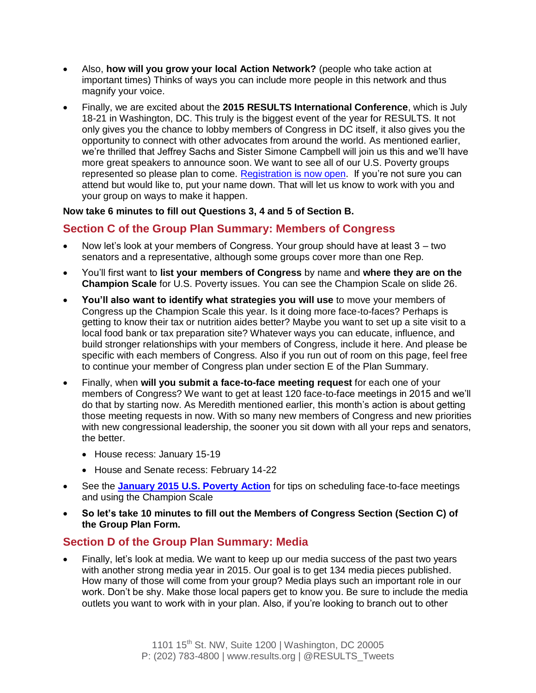- Also, **how will you grow your local Action Network?** (people who take action at important times) Thinks of ways you can include more people in this network and thus magnify your voice.
- Finally, we are excited about the **2015 RESULTS International Conference**, which is July 18-21 in Washington, DC. This truly is the biggest event of the year for RESULTS. It not only gives you the chance to lobby members of Congress in DC itself, it also gives you the opportunity to connect with other advocates from around the world. As mentioned earlier, we're thrilled that Jeffrey Sachs and Sister Simone Campbell will join us this and we'll have more great speakers to announce soon. We want to see all of our U.S. Poverty groups represented so please plan to come. [Registration is now open.](http://www.cvent.com/d/vYIVLWMJSEOINhuqvD6jKQ/ll3m/P1/1Q) If you're not sure you can attend but would like to, put your name down. That will let us know to work with you and your group on ways to make it happen.

#### **Now take 6 minutes to fill out Questions 3, 4 and 5 of Section B.**

#### **Section C of the Group Plan Summary: Members of Congress**

- Now let's look at your members of Congress. Your group should have at least 3 two senators and a representative, although some groups cover more than one Rep.
- You'll first want to **list your members of Congress** by name and **where they are on the Champion Scale** for U.S. Poverty issues. You can see the Champion Scale on slide 26.
- **You'll also want to identify what strategies you will use** to move your members of Congress up the Champion Scale this year. Is it doing more face-to-faces? Perhaps is getting to know their tax or nutrition aides better? Maybe you want to set up a site visit to a local food bank or tax preparation site? Whatever ways you can educate, influence, and build stronger relationships with your members of Congress, include it here. And please be specific with each members of Congress. Also if you run out of room on this page, feel free to continue your member of Congress plan under section E of the Plan Summary.
- Finally, when **will you submit a face-to-face meeting request** for each one of your members of Congress? We want to get at least 120 face-to-face meetings in 2015 and we'll do that by starting now. As Meredith mentioned earlier, this month's action is about getting those meeting requests in now. With so many new members of Congress and new priorities with new congressional leadership, the sooner you sit down with all your reps and senators, the better.
	- House recess: January 15-19
	- House and Senate recess: February 14-22
- See the **[January 2015 U.S. Poverty Action](http://www.results.org/take_action/january_2015_u.s._poverty_action/)** for tips on scheduling face-to-face meetings and using the Champion Scale
- **So let's take 10 minutes to fill out the Members of Congress Section (Section C) of the Group Plan Form.**

#### **Section D of the Group Plan Summary: Media**

 Finally, let's look at media. We want to keep up our media success of the past two years with another strong media year in 2015. Our goal is to get 134 media pieces published. How many of those will come from your group? Media plays such an important role in our work. Don't be shy. Make those local papers get to know you. Be sure to include the media outlets you want to work with in your plan. Also, if you're looking to branch out to other